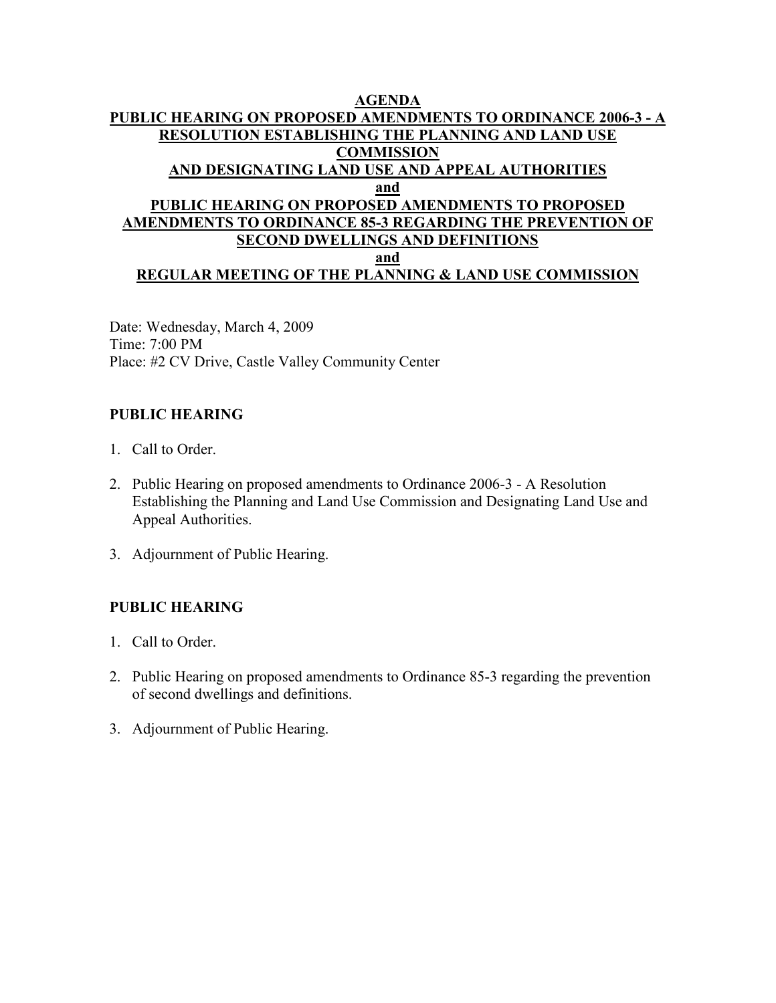#### **AGENDA PUBLIC HEARING ON PROPOSED AMENDMENTS TO ORDINANCE 2006-3 - A RESOLUTION ESTABLISHING THE PLANNING AND LAND USE COMMISSION AND DESIGNATING LAND USE AND APPEAL AUTHORITIES and PUBLIC HEARING ON PROPOSED AMENDMENTS TO PROPOSED AMENDMENTS TO ORDINANCE 85-3 REGARDING THE PREVENTION OF SECOND DWELLINGS AND DEFINITIONS and REGULAR MEETING OF THE PLANNING & LAND USE COMMISSION**

Date: Wednesday, March 4, 2009 Time: 7:00 PM Place: #2 CV Drive, Castle Valley Community Center

### **PUBLIC HEARING**

- 1. Call to Order.
- 2. Public Hearing on proposed amendments to Ordinance 2006-3 A Resolution Establishing the Planning and Land Use Commission and Designating Land Use and Appeal Authorities.
- 3. Adjournment of Public Hearing.

### **PUBLIC HEARING**

- 1. Call to Order.
- 2. Public Hearing on proposed amendments to Ordinance 85-3 regarding the prevention of second dwellings and definitions.
- 3. Adjournment of Public Hearing.